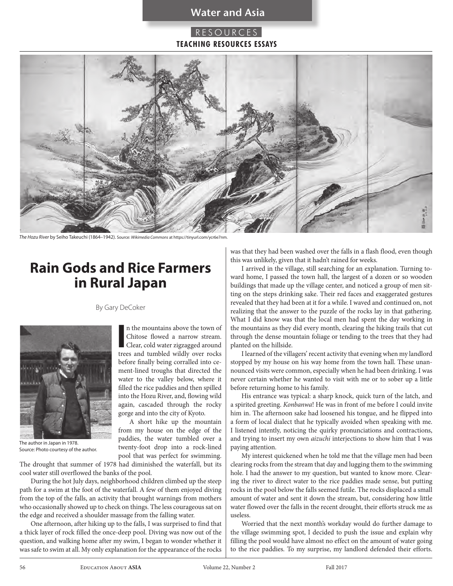### **Water and Asia**

## **RESOURCES TEACHING RESOURCES ESSAYS**



*The Hozu River* by Seiho Takeuchi (1864–1942). Source: *Wikimedia Commons* at https://tinyurl.com/ycr6e7nm.

# **Rain Gods and Rice Farmers in Rural Japan**

By Gary DeCoker



The author in Japan in 1978. Source: Photo courtesy of the author.

In the mountains above the town of<br>
Chitose flowed a narrow stream.<br>
Clear, cold water zigzagged around<br>
trees and tumbled wildly over rocks n the mountains above the town of Chitose flowed a narrow stream. Clear, cold water zigzagged around before finally being corralled into cement-lined troughs that directed the water to the valley below, where it filled the rice paddies and then spilled into the Hozu River, and, flowing wild again, cascaded through the rocky gorge and into the city of Kyoto.

A short hike up the mountain from my house on the edge of the paddies, the water tumbled over a twenty-foot drop into a rock-lined pool that was perfect for swimming.

The drought that summer of 1978 had diminished the waterfall, but its cool water still overflowed the banks of the pool.

During the hot July days, neighborhood children climbed up the steep path for a swim at the foot of the waterfall. A few of them enjoyed diving from the top of the falls, an activity that brought warnings from mothers who occasionally showed up to check on things. The less courageous sat on the edge and received a shoulder massage from the falling water.

One afternoon, after hiking up to the falls, I was surprised to find that a thick layer of rock filled the once-deep pool. Diving was now out of the question, and walking home after my swim, I began to wonder whether it was safe to swim at all. My only explanation for the appearance of the rocks was that they had been washed over the falls in a flash flood, even though this was unlikely, given that it hadn't rained for weeks.

I arrived in the village, still searching for an explanation. Turning toward home, I passed the town hall, the largest of a dozen or so wooden buildings that made up the village center, and noticed a group of men sitting on the steps drinking sake. Their red faces and exaggerated gestures revealed that they had been at it for a while. I waved and continued on, not realizing that the answer to the puzzle of the rocks lay in that gathering. What I did know was that the local men had spent the day working in the mountains as they did every month, clearing the hiking trails that cut through the dense mountain foliage or tending to the trees that they had planted on the hillside.

I learned of the villagers' recent activity that evening when my landlord stopped by my house on his way home from the town hall. These unannounced visits were common, especially when he had been drinking. I was never certain whether he wanted to visit with me or to sober up a little before returning home to his family.

His entrance was typical: a sharp knock, quick turn of the latch, and a spirited greeting. *Konbanwa*! He was in front of me before I could invite him in. The afternoon sake had loosened his tongue, and he flipped into a form of local dialect that he typically avoided when speaking with me. I listened intently, noticing the quirky pronunciations and contractions, and trying to insert my own *aizuchi* interjections to show him that I was paying attention.

My interest quickened when he told me that the village men had been clearing rocks from the stream that day and lugging them to the swimming hole. I had the answer to my question, but wanted to know more. Clearing the river to direct water to the rice paddies made sense, but putting rocks in the pool below the falls seemed futile. The rocks displaced a small amount of water and sent it down the stream, but, considering how little water flowed over the falls in the recent drought, their efforts struck me as useless.

Worried that the next month's workday would do further damage to the village swimming spot, I decided to push the issue and explain why filling the pool would have almost no effect on the amount of water going to the rice paddies. To my surprise, my landlord defended their efforts.